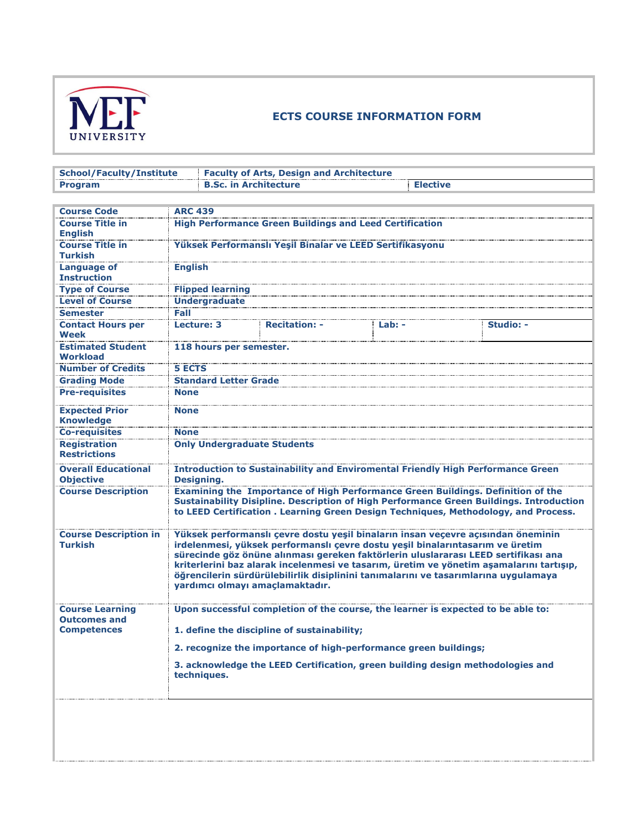

## **ECTS COURSE INFORMATION FORM**

| <b>School/Faculty/Institute</b>                |                                                                                  | <b>Faculty of Arts, Design and Architecture</b>                  |        |                                                                                                                                                                   |  |  |  |
|------------------------------------------------|----------------------------------------------------------------------------------|------------------------------------------------------------------|--------|-------------------------------------------------------------------------------------------------------------------------------------------------------------------|--|--|--|
| <b>Program</b>                                 |                                                                                  | <b>B.Sc. in Architecture</b><br><b>Elective</b>                  |        |                                                                                                                                                                   |  |  |  |
|                                                |                                                                                  |                                                                  |        |                                                                                                                                                                   |  |  |  |
| <b>Course Code</b>                             | <b>ARC 439</b>                                                                   |                                                                  |        |                                                                                                                                                                   |  |  |  |
| <b>Course Title in</b>                         |                                                                                  | <b>High Performance Green Buildings and Leed Certification</b>   |        |                                                                                                                                                                   |  |  |  |
| <b>English</b>                                 |                                                                                  |                                                                  |        |                                                                                                                                                                   |  |  |  |
| <b>Course Title in</b>                         |                                                                                  | Yüksek Performanslı Yeşil Binalar ve LEED Sertifikasyonu         |        |                                                                                                                                                                   |  |  |  |
| <b>Turkish</b>                                 |                                                                                  |                                                                  |        |                                                                                                                                                                   |  |  |  |
| <b>Language of</b>                             | <b>English</b>                                                                   |                                                                  |        |                                                                                                                                                                   |  |  |  |
| <b>Instruction</b>                             |                                                                                  |                                                                  |        |                                                                                                                                                                   |  |  |  |
| <b>Type of Course</b>                          | <b>Flipped learning</b>                                                          |                                                                  |        |                                                                                                                                                                   |  |  |  |
| <b>Level of Course</b>                         | <b>Undergraduate</b>                                                             |                                                                  |        |                                                                                                                                                                   |  |  |  |
| <b>Semester</b>                                | Fall                                                                             |                                                                  |        |                                                                                                                                                                   |  |  |  |
| <b>Contact Hours per</b>                       | Lecture: 3                                                                       | <b>Recitation:</b>                                               | Lab: - | Studio: -                                                                                                                                                         |  |  |  |
| Week                                           |                                                                                  |                                                                  |        |                                                                                                                                                                   |  |  |  |
| <b>Estimated Student</b>                       | 118 hours per semester.                                                          |                                                                  |        |                                                                                                                                                                   |  |  |  |
| Workload                                       |                                                                                  |                                                                  |        |                                                                                                                                                                   |  |  |  |
| <b>Number of Credits</b>                       | <b>5 ECTS</b>                                                                    |                                                                  |        |                                                                                                                                                                   |  |  |  |
| <b>Grading Mode</b>                            | <b>Standard Letter Grade</b>                                                     |                                                                  |        |                                                                                                                                                                   |  |  |  |
| <b>Pre-requisites</b>                          | <b>None</b>                                                                      |                                                                  |        |                                                                                                                                                                   |  |  |  |
| <b>Expected Prior</b>                          | <b>None</b>                                                                      |                                                                  |        |                                                                                                                                                                   |  |  |  |
| <b>Knowledge</b>                               |                                                                                  |                                                                  |        |                                                                                                                                                                   |  |  |  |
| <b>Co-requisites</b>                           | <b>None</b>                                                                      |                                                                  |        |                                                                                                                                                                   |  |  |  |
| <b>Registration</b>                            | <b>Only Undergraduate Students</b>                                               |                                                                  |        |                                                                                                                                                                   |  |  |  |
| <b>Restrictions</b>                            |                                                                                  |                                                                  |        |                                                                                                                                                                   |  |  |  |
| <b>Overall Educational</b>                     |                                                                                  |                                                                  |        | <b>Introduction to Sustainability and Enviromental Friendly High Performance Green</b>                                                                            |  |  |  |
| <b>Objective</b>                               | Designing.                                                                       |                                                                  |        |                                                                                                                                                                   |  |  |  |
| <b>Course Description</b>                      |                                                                                  |                                                                  |        | <b>Examining the Importance of High Performance Green Buildings. Definition of the</b>                                                                            |  |  |  |
|                                                |                                                                                  |                                                                  |        | Sustainability Disipline. Description of High Performance Green Buildings. Introduction                                                                           |  |  |  |
|                                                |                                                                                  |                                                                  |        | to LEED Certification . Learning Green Design Techniques, Methodology, and Process.                                                                               |  |  |  |
|                                                |                                                                                  |                                                                  |        |                                                                                                                                                                   |  |  |  |
| <b>Course Description in</b><br><b>Turkish</b> |                                                                                  |                                                                  |        | Yüksek performanslı çevre dostu yeşil binaların insan veçevre açısından öneminin<br>irdelenmesi, yüksek performanslı çevre dostu yeşil binalarıntasarım ve üretim |  |  |  |
|                                                |                                                                                  |                                                                  |        | sürecinde göz önüne alınması gereken faktörlerin uluslararası LEED sertifikası ana                                                                                |  |  |  |
|                                                |                                                                                  |                                                                  |        | kriterlerini baz alarak incelenmesi ve tasarım, üretim ve yönetim aşamalarını tartışıp,                                                                           |  |  |  |
|                                                |                                                                                  |                                                                  |        | öğrencilerin sürdürülebilirlik disiplinini tanımalarını ve tasarımlarına uygulamaya                                                                               |  |  |  |
|                                                | vardımcı olmavı amaclamaktadır.                                                  |                                                                  |        |                                                                                                                                                                   |  |  |  |
|                                                |                                                                                  |                                                                  |        |                                                                                                                                                                   |  |  |  |
| <b>Course Learning</b>                         | Upon successful completion of the course, the learner is expected to be able to: |                                                                  |        |                                                                                                                                                                   |  |  |  |
| <b>Outcomes and</b>                            |                                                                                  |                                                                  |        |                                                                                                                                                                   |  |  |  |
| <b>Competences</b>                             |                                                                                  | 1. define the discipline of sustainability;                      |        |                                                                                                                                                                   |  |  |  |
|                                                |                                                                                  | 2. recognize the importance of high-performance green buildings; |        |                                                                                                                                                                   |  |  |  |
|                                                |                                                                                  |                                                                  |        | 3. acknowledge the LEED Certification, green building design methodologies and                                                                                    |  |  |  |
|                                                | techniques.                                                                      |                                                                  |        |                                                                                                                                                                   |  |  |  |
|                                                |                                                                                  |                                                                  |        |                                                                                                                                                                   |  |  |  |
|                                                |                                                                                  |                                                                  |        |                                                                                                                                                                   |  |  |  |
|                                                |                                                                                  |                                                                  |        |                                                                                                                                                                   |  |  |  |
|                                                |                                                                                  |                                                                  |        |                                                                                                                                                                   |  |  |  |
|                                                |                                                                                  |                                                                  |        |                                                                                                                                                                   |  |  |  |
|                                                |                                                                                  |                                                                  |        |                                                                                                                                                                   |  |  |  |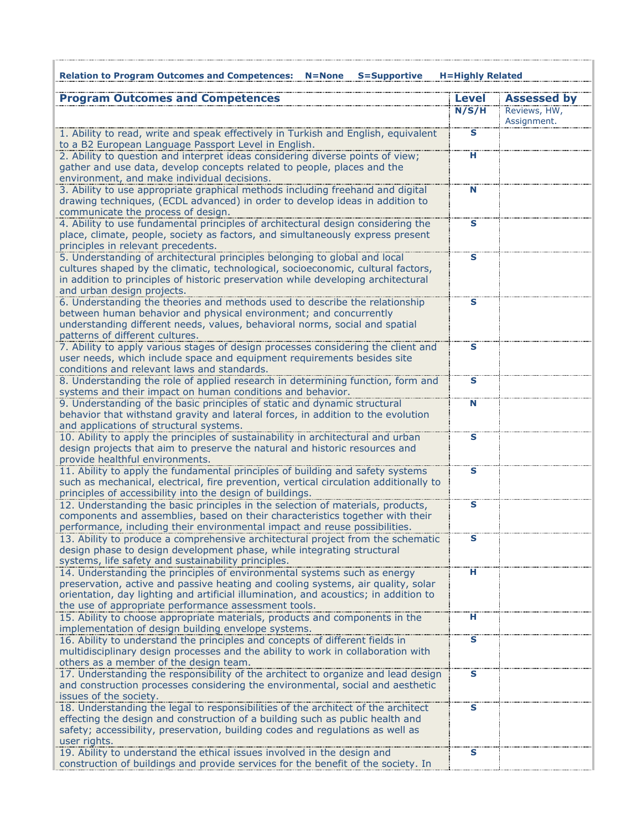| <b>Relation to Program Outcomes and Competences: N=None</b><br><b>S=Supportive</b>                                                                                                                                                                                                                           | <b>H=Highly Related</b> |                             |
|--------------------------------------------------------------------------------------------------------------------------------------------------------------------------------------------------------------------------------------------------------------------------------------------------------------|-------------------------|-----------------------------|
| <b>Program Outcomes and Competences</b>                                                                                                                                                                                                                                                                      | <b>Level</b>            | <b>Assessed by</b>          |
|                                                                                                                                                                                                                                                                                                              | N/S/H                   | Reviews, HW,<br>Assignment. |
| 1. Ability to read, write and speak effectively in Turkish and English, equivalent<br>to a B2 European Language Passport Level in English.                                                                                                                                                                   | $\overline{\mathbf{s}}$ |                             |
| 2. Ability to question and interpret ideas considering diverse points of view;<br>gather and use data, develop concepts related to people, places and the<br>environment, and make individual decisions.                                                                                                     | н                       |                             |
| 3. Ability to use appropriate graphical methods including freehand and digital<br>drawing techniques, (ECDL advanced) in order to develop ideas in addition to<br>communicate the process of design.                                                                                                         | N                       |                             |
| 4. Ability to use fundamental principles of architectural design considering the<br>place, climate, people, society as factors, and simultaneously express present<br>principles in relevant precedents.                                                                                                     | s                       |                             |
| 5. Understanding of architectural principles belonging to global and local<br>cultures shaped by the climatic, technological, socioeconomic, cultural factors,<br>in addition to principles of historic preservation while developing architectural<br>and urban design projects.                            | $\mathbf{s}$            |                             |
| 6. Understanding the theories and methods used to describe the relationship<br>between human behavior and physical environment; and concurrently<br>understanding different needs, values, behavioral norms, social and spatial<br>patterns of different cultures.                                           | s                       |                             |
| 7. Ability to apply various stages of design processes considering the client and<br>user needs, which include space and equipment requirements besides site<br>conditions and relevant laws and standards.                                                                                                  | $\mathbf{s}$            |                             |
| 8. Understanding the role of applied research in determining function, form and<br>systems and their impact on human conditions and behavior.                                                                                                                                                                | s                       |                             |
| 9. Understanding of the basic principles of static and dynamic structural<br>behavior that withstand gravity and lateral forces, in addition to the evolution<br>and applications of structural systems.                                                                                                     | N                       |                             |
| 10. Ability to apply the principles of sustainability in architectural and urban<br>design projects that aim to preserve the natural and historic resources and<br>provide healthful environments.                                                                                                           | s                       |                             |
| 11. Ability to apply the fundamental principles of building and safety systems<br>such as mechanical, electrical, fire prevention, vertical circulation additionally to<br>principles of accessibility into the design of buildings.                                                                         | S                       |                             |
| 12. Understanding the basic principles in the selection of materials, products,<br>components and assemblies, based on their characteristics together with their<br>performance, including their environmental impact and reuse possibilities.                                                               | Š                       |                             |
| 13. Ability to produce a comprehensive architectural project from the schematic<br>design phase to design development phase, while integrating structural<br>systems, life safety and sustainability principles.                                                                                             | s                       |                             |
| 14. Understanding the principles of environmental systems such as energy<br>preservation, active and passive heating and cooling systems, air quality, solar<br>orientation, day lighting and artificial illumination, and acoustics; in addition to<br>the use of appropriate performance assessment tools. | н                       |                             |
| 15. Ability to choose appropriate materials, products and components in the<br>implementation of design building envelope systems.                                                                                                                                                                           | н                       |                             |
| 16. Ability to understand the principles and concepts of different fields in<br>multidisciplinary design processes and the ability to work in collaboration with<br>others as a member of the design team.                                                                                                   | $\overline{\mathbf{s}}$ |                             |
| 17. Understanding the responsibility of the architect to organize and lead design<br>and construction processes considering the environmental, social and aesthetic<br>issues of the society.                                                                                                                | $\mathbf{s}$            |                             |
| 18. Understanding the legal to responsibilities of the architect of the architect<br>effecting the design and construction of a building such as public health and<br>safety; accessibility, preservation, building codes and regulations as well as<br>user rights.                                         | s                       |                             |
| 19. Ability to understand the ethical issues involved in the design and<br>construction of buildings and provide services for the benefit of the society. In                                                                                                                                                 | S                       |                             |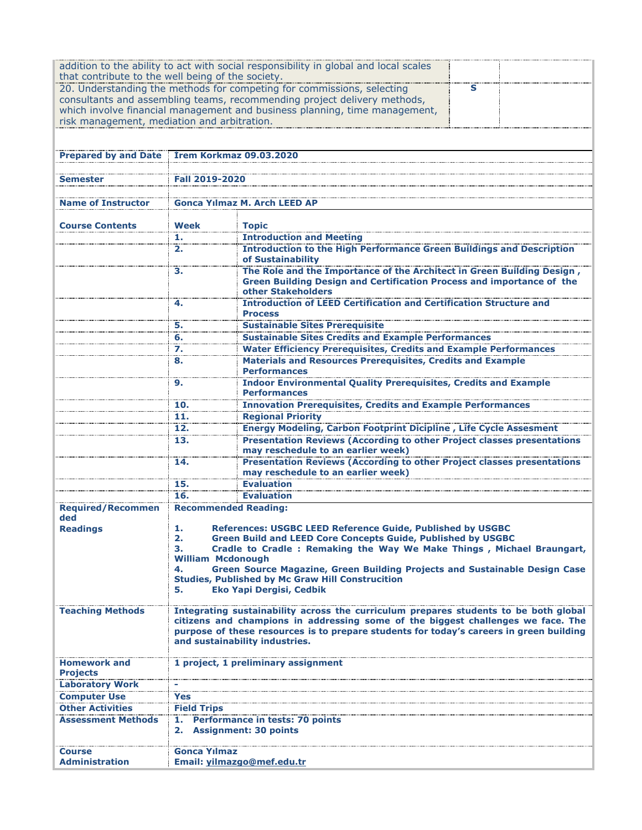| that contribute to the well being of the society. |                                                                                                                                                                                                                                                                                                       | addition to the ability to act with social responsibility in global and local scales                                                                                                                                                                                                                                                                                                                        |   |  |  |  |
|---------------------------------------------------|-------------------------------------------------------------------------------------------------------------------------------------------------------------------------------------------------------------------------------------------------------------------------------------------------------|-------------------------------------------------------------------------------------------------------------------------------------------------------------------------------------------------------------------------------------------------------------------------------------------------------------------------------------------------------------------------------------------------------------|---|--|--|--|
|                                                   |                                                                                                                                                                                                                                                                                                       | 20. Understanding the methods for competing for commissions, selecting<br>consultants and assembling teams, recommending project delivery methods,<br>which involve financial management and business planning, time management,                                                                                                                                                                            | s |  |  |  |
| risk management, mediation and arbitration.       |                                                                                                                                                                                                                                                                                                       |                                                                                                                                                                                                                                                                                                                                                                                                             |   |  |  |  |
| <b>Prepared by and Date</b>                       |                                                                                                                                                                                                                                                                                                       | <b>Irem Korkmaz 09.03.2020</b>                                                                                                                                                                                                                                                                                                                                                                              |   |  |  |  |
|                                                   |                                                                                                                                                                                                                                                                                                       |                                                                                                                                                                                                                                                                                                                                                                                                             |   |  |  |  |
| Semester                                          | Fall 2019-2020                                                                                                                                                                                                                                                                                        |                                                                                                                                                                                                                                                                                                                                                                                                             |   |  |  |  |
| <b>Name of Instructor</b>                         |                                                                                                                                                                                                                                                                                                       | <b>Gonca Yilmaz M. Arch LEED AP</b>                                                                                                                                                                                                                                                                                                                                                                         |   |  |  |  |
|                                                   | Week                                                                                                                                                                                                                                                                                                  | <b>Topic</b>                                                                                                                                                                                                                                                                                                                                                                                                |   |  |  |  |
| <b>Course Contents</b>                            | 1.                                                                                                                                                                                                                                                                                                    | <b>Introduction and Meeting</b>                                                                                                                                                                                                                                                                                                                                                                             |   |  |  |  |
|                                                   | 2.                                                                                                                                                                                                                                                                                                    | <b>Introduction to the High Performance Green Buildings and Description</b>                                                                                                                                                                                                                                                                                                                                 |   |  |  |  |
|                                                   |                                                                                                                                                                                                                                                                                                       | of Sustainability                                                                                                                                                                                                                                                                                                                                                                                           |   |  |  |  |
|                                                   | 3.                                                                                                                                                                                                                                                                                                    | The Role and the Importance of the Architect in Green Building Design,<br>Green Building Design and Certification Process and importance of the<br>other Stakeholders                                                                                                                                                                                                                                       |   |  |  |  |
|                                                   | 4.                                                                                                                                                                                                                                                                                                    | <b>Introduction of LEED Certification and Certification Structure and</b><br><b>Process</b>                                                                                                                                                                                                                                                                                                                 |   |  |  |  |
|                                                   | 5.                                                                                                                                                                                                                                                                                                    | <b>Sustainable Sites Prerequisite</b>                                                                                                                                                                                                                                                                                                                                                                       |   |  |  |  |
|                                                   | 6.                                                                                                                                                                                                                                                                                                    | <b>Sustainable Sites Credits and Example Performances</b>                                                                                                                                                                                                                                                                                                                                                   |   |  |  |  |
|                                                   | 7.                                                                                                                                                                                                                                                                                                    | <b>Water Efficiency Prerequisites, Credits and Example Performances</b>                                                                                                                                                                                                                                                                                                                                     |   |  |  |  |
|                                                   | 8.                                                                                                                                                                                                                                                                                                    | <b>Materials and Resources Prerequisites, Credits and Example</b><br><b>Performances</b>                                                                                                                                                                                                                                                                                                                    |   |  |  |  |
|                                                   | 9.                                                                                                                                                                                                                                                                                                    | <b>Indoor Environmental Quality Prerequisites, Credits and Example</b><br><b>Performances</b>                                                                                                                                                                                                                                                                                                               |   |  |  |  |
|                                                   | 10.                                                                                                                                                                                                                                                                                                   | <b>Innovation Prerequisites, Credits and Example Performances</b>                                                                                                                                                                                                                                                                                                                                           |   |  |  |  |
|                                                   | 11.                                                                                                                                                                                                                                                                                                   | <b>Regional Priority</b>                                                                                                                                                                                                                                                                                                                                                                                    |   |  |  |  |
|                                                   | 12.                                                                                                                                                                                                                                                                                                   | <b>Energy Modeling, Carbon Footprint Dicipline, Life Cycle Assesment</b>                                                                                                                                                                                                                                                                                                                                    |   |  |  |  |
|                                                   | 13.                                                                                                                                                                                                                                                                                                   | <b>Presentation Reviews (According to other Project classes presentations</b><br>may reschedule to an earlier week)                                                                                                                                                                                                                                                                                         |   |  |  |  |
|                                                   | 14.                                                                                                                                                                                                                                                                                                   | <b>Presentation Reviews (According to other Project classes presentations</b><br>may reschedule to an earlier week)                                                                                                                                                                                                                                                                                         |   |  |  |  |
|                                                   | 15.                                                                                                                                                                                                                                                                                                   | <b>Evaluation</b>                                                                                                                                                                                                                                                                                                                                                                                           |   |  |  |  |
|                                                   | 16.                                                                                                                                                                                                                                                                                                   | <b>Evaluation</b>                                                                                                                                                                                                                                                                                                                                                                                           |   |  |  |  |
| <b>Required/Recommen</b><br>ded                   |                                                                                                                                                                                                                                                                                                       | <b>Recommended Reading:</b>                                                                                                                                                                                                                                                                                                                                                                                 |   |  |  |  |
| <b>Readings</b>                                   | ı.<br>2.<br>з.<br>4.<br>5.                                                                                                                                                                                                                                                                            | References: USGBC LEED Reference Guide, Published by USGBC<br><b>Green Build and LEED Core Concepts Guide, Published by USGBC</b><br>Cradle to Cradle: Remaking the Way We Make Things, Michael Braungart,<br><b>William Mcdonough</b><br>Green Source Magazine, Green Building Projects and Sustainable Design Case<br><b>Studies, Published by Mc Graw Hill Construcition</b><br>Eko Yapi Dergisi, Cedbik |   |  |  |  |
| <b>Teaching Methods</b>                           | Integrating sustainability across the curriculum prepares students to be both global<br>citizens and champions in addressing some of the biggest challenges we face. The<br>purpose of these resources is to prepare students for today's careers in green building<br>and sustainability industries. |                                                                                                                                                                                                                                                                                                                                                                                                             |   |  |  |  |
| <b>Homework and</b><br><b>Projects</b>            |                                                                                                                                                                                                                                                                                                       | 1 project, 1 preliminary assignment                                                                                                                                                                                                                                                                                                                                                                         |   |  |  |  |
| <b>Laboratory Work</b>                            |                                                                                                                                                                                                                                                                                                       |                                                                                                                                                                                                                                                                                                                                                                                                             |   |  |  |  |
| <b>Computer Use</b>                               | Yes                                                                                                                                                                                                                                                                                                   |                                                                                                                                                                                                                                                                                                                                                                                                             |   |  |  |  |
| <b>Other Activities</b>                           | <b>Field Trips</b>                                                                                                                                                                                                                                                                                    |                                                                                                                                                                                                                                                                                                                                                                                                             |   |  |  |  |
| <b>Assessment Methods</b>                         |                                                                                                                                                                                                                                                                                                       | 1. Performance in tests: 70 points<br>2. Assignment: 30 points                                                                                                                                                                                                                                                                                                                                              |   |  |  |  |
| <b>Course</b><br><b>Administration</b>            | Gonca Yılmaz                                                                                                                                                                                                                                                                                          | Email: yilmazgo@mef.edu.tr                                                                                                                                                                                                                                                                                                                                                                                  |   |  |  |  |
|                                                   |                                                                                                                                                                                                                                                                                                       |                                                                                                                                                                                                                                                                                                                                                                                                             |   |  |  |  |